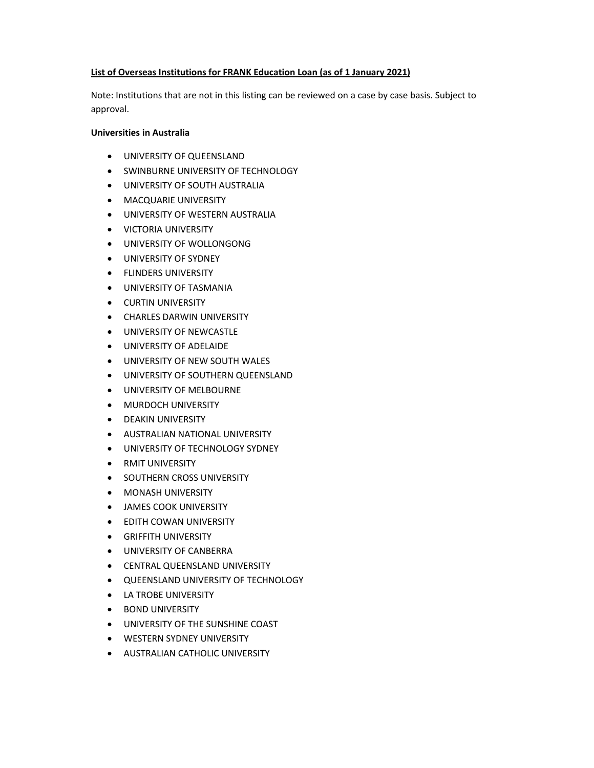# **List of Overseas Institutions for FRANK Education Loan (as of 1 January 2021)**

Note: Institutions that are not in this listing can be reviewed on a case by case basis. Subject to approval.

## **Universities in Australia**

- UNIVERSITY OF QUEENSLAND
- **SWINBURNE UNIVERSITY OF TECHNOLOGY**
- UNIVERSITY OF SOUTH AUSTRALIA
- **MACQUARIE UNIVERSITY**
- UNIVERSITY OF WESTERN AUSTRALIA
- **VICTORIA UNIVERSITY**
- UNIVERSITY OF WOLLONGONG
- UNIVERSITY OF SYDNEY
- **•** FLINDERS UNIVERSITY
- UNIVERSITY OF TASMANIA
- **CURTIN UNIVERSITY**
- **CHARLES DARWIN UNIVERSITY**
- UNIVERSITY OF NEWCASTLE
- UNIVERSITY OF ADELAIDE
- UNIVERSITY OF NEW SOUTH WALES
- UNIVERSITY OF SOUTHERN QUEENSLAND
- UNIVERSITY OF MELBOURNE
- **MURDOCH UNIVERSITY**
- DEAKIN UNIVERSITY
- **AUSTRALIAN NATIONAL UNIVERSITY**
- **UNIVERSITY OF TECHNOLOGY SYDNEY**
- **RMIT UNIVERSITY**
- **SOUTHERN CROSS UNIVERSITY**
- **MONASH UNIVERSITY**
- JAMES COOK UNIVERSITY
- EDITH COWAN UNIVERSITY
- **•** GRIFFITH UNIVERSITY
- UNIVERSITY OF CANBERRA
- CENTRAL QUEENSLAND UNIVERSITY
- **QUEENSLAND UNIVERSITY OF TECHNOLOGY**
- LA TROBE UNIVERSITY
- **BOND UNIVERSITY**
- UNIVERSITY OF THE SUNSHINE COAST
- WESTERN SYDNEY UNIVERSITY
- **AUSTRALIAN CATHOLIC UNIVERSITY**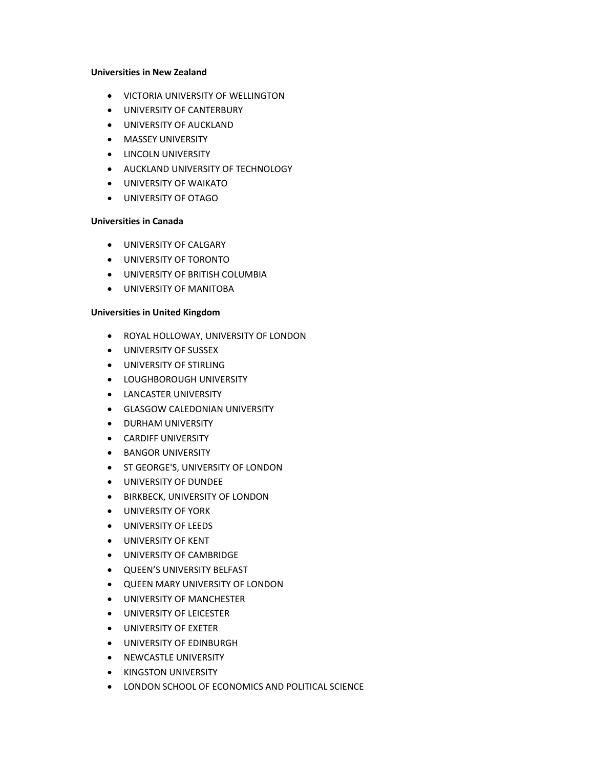#### **Universities in New Zealand**

- VICTORIA UNIVERSITY OF WELLINGTON
- **UNIVERSITY OF CANTERBURY**
- UNIVERSITY OF AUCKLAND
- **MASSEY UNIVERSITY**
- **•** LINCOLN UNIVERSITY
- AUCKLAND UNIVERSITY OF TECHNOLOGY
- UNIVERSITY OF WAIKATO
- UNIVERSITY OF OTAGO

#### **Universities in Canada**

- UNIVERSITY OF CALGARY
- UNIVERSITY OF TORONTO
- UNIVERSITY OF BRITISH COLUMBIA
- UNIVERSITY OF MANITOBA

## **Universities in United Kingdom**

- **ROYAL HOLLOWAY, UNIVERSITY OF LONDON**
- UNIVERSITY OF SUSSEX
- UNIVERSITY OF STIRLING
- **LOUGHBOROUGH UNIVERSITY**
- **LANCASTER UNIVERSITY**
- **GLASGOW CALEDONIAN UNIVERSITY**
- **DURHAM UNIVERSITY**
- **•** CARDIFF UNIVERSITY
- BANGOR UNIVERSITY
- **ST GEORGE'S, UNIVERSITY OF LONDON**
- UNIVERSITY OF DUNDEE
- **BIRKBECK, UNIVERSITY OF LONDON**
- UNIVERSITY OF YORK
- UNIVERSITY OF LEEDS
- UNIVERSITY OF KENT
- UNIVERSITY OF CAMBRIDGE
- QUEEN'S UNIVERSITY BELFAST
- QUEEN MARY UNIVERSITY OF LONDON
- UNIVERSITY OF MANCHESTER
- UNIVERSITY OF LEICESTER
- UNIVERSITY OF EXETER
- UNIVERSITY OF EDINBURGH
- NEWCASTLE UNIVERSITY
- **KINGSTON UNIVERSITY**
- LONDON SCHOOL OF ECONOMICS AND POLITICAL SCIENCE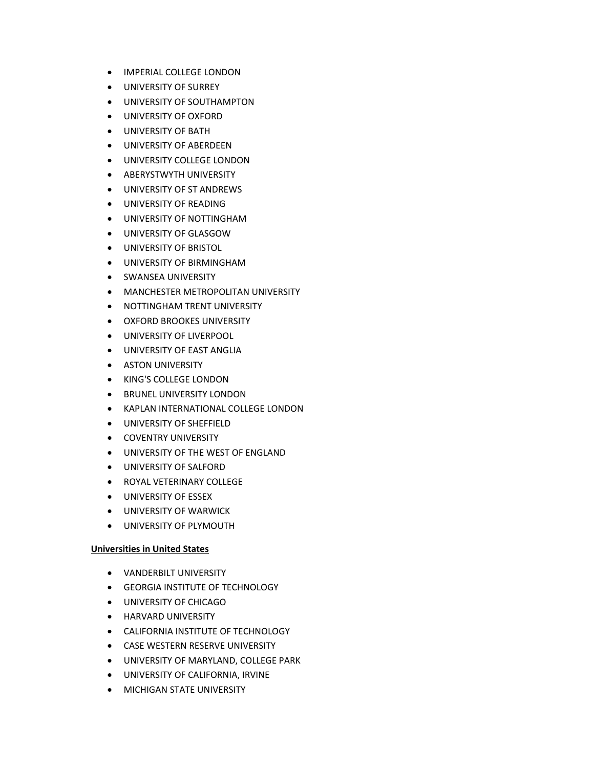- **IMPERIAL COLLEGE LONDON**
- UNIVERSITY OF SURREY
- UNIVERSITY OF SOUTHAMPTON
- UNIVERSITY OF OXFORD
- UNIVERSITY OF BATH
- UNIVERSITY OF ABERDEEN
- UNIVERSITY COLLEGE LONDON
- ABERYSTWYTH UNIVERSITY
- UNIVERSITY OF ST ANDREWS
- UNIVERSITY OF READING
- UNIVERSITY OF NOTTINGHAM
- UNIVERSITY OF GLASGOW
- **UNIVERSITY OF BRISTOL**
- UNIVERSITY OF BIRMINGHAM
- SWANSEA UNIVERSITY
- **MANCHESTER METROPOLITAN UNIVERSITY**
- **NOTTINGHAM TRENT UNIVERSITY**
- **OXFORD BROOKES UNIVERSITY**
- UNIVERSITY OF LIVERPOOL
- UNIVERSITY OF EAST ANGLIA
- **ASTON UNIVERSITY**
- KING'S COLLEGE LONDON
- **BRUNEL UNIVERSITY LONDON**
- KAPLAN INTERNATIONAL COLLEGE LONDON
- UNIVERSITY OF SHEFFIELD
- **COVENTRY UNIVERSITY**
- UNIVERSITY OF THE WEST OF ENGLAND
- UNIVERSITY OF SALFORD
- **ROYAL VETERINARY COLLEGE**
- UNIVERSITY OF ESSEX
- UNIVERSITY OF WARWICK
- UNIVERSITY OF PLYMOUTH

# **Universities in United States**

- VANDERBILT UNIVERSITY
- GEORGIA INSTITUTE OF TECHNOLOGY
- UNIVERSITY OF CHICAGO
- **HARVARD UNIVERSITY**
- CALIFORNIA INSTITUTE OF TECHNOLOGY
- **CASE WESTERN RESERVE UNIVERSITY**
- UNIVERSITY OF MARYLAND, COLLEGE PARK
- UNIVERSITY OF CALIFORNIA, IRVINE
- **MICHIGAN STATE UNIVERSITY**